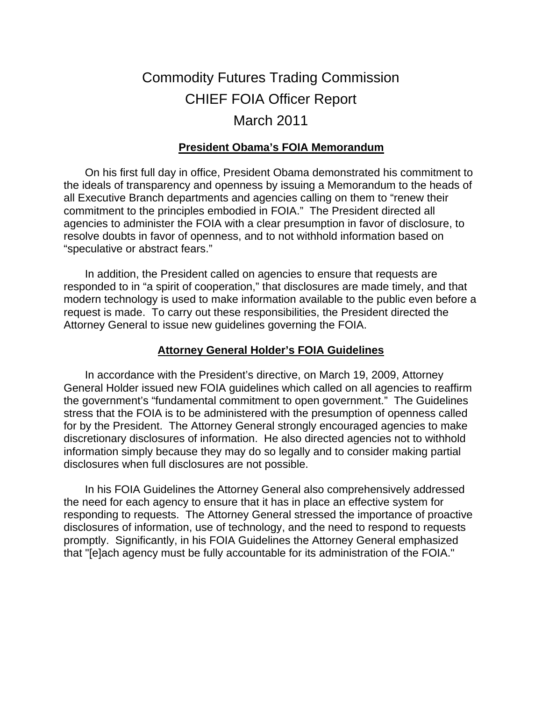# Commodity Futures Trading Commission CHIEF FOIA Officer Report March 2011

#### **President Obama's FOIA Memorandum**

On his first full day in office, President Obama demonstrated his commitment to the ideals of transparency and openness by issuing a Memorandum to the heads of all Executive Branch departments and agencies calling on them to "renew their commitment to the principles embodied in FOIA." The President directed all agencies to administer the FOIA with a clear presumption in favor of disclosure, to resolve doubts in favor of openness, and to not withhold information based on "speculative or abstract fears."

In addition, the President called on agencies to ensure that requests are responded to in "a spirit of cooperation," that disclosures are made timely, and that modern technology is used to make information available to the public even before a request is made. To carry out these responsibilities, the President directed the Attorney General to issue new guidelines governing the FOIA.

#### **Attorney General Holder's FOIA Guidelines**

In accordance with the President's directive, on March 19, 2009, Attorney General Holder issued new FOIA guidelines which called on all agencies to reaffirm the government's "fundamental commitment to open government." The Guidelines stress that the FOIA is to be administered with the presumption of openness called for by the President. The Attorney General strongly encouraged agencies to make discretionary disclosures of information. He also directed agencies not to withhold information simply because they may do so legally and to consider making partial disclosures when full disclosures are not possible.

In his FOIA Guidelines the Attorney General also comprehensively addressed the need for each agency to ensure that it has in place an effective system for responding to requests. The Attorney General stressed the importance of proactive disclosures of information, use of technology, and the need to respond to requests promptly. Significantly, in his FOIA Guidelines the Attorney General emphasized that "[e]ach agency must be fully accountable for its administration of the FOIA."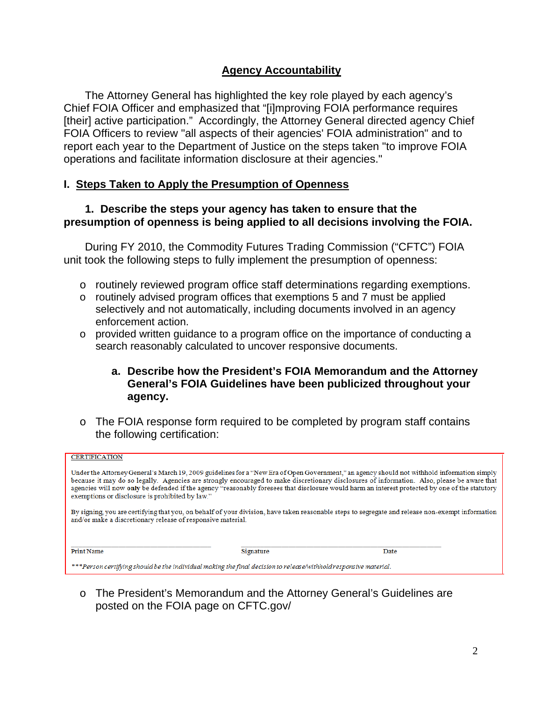#### **Agency Accountability**

The Attorney General has highlighted the key role played by each agency's Chief FOIA Officer and emphasized that "[i]mproving FOIA performance requires [their] active participation." Accordingly, the Attorney General directed agency Chief FOIA Officers to review "all aspects of their agencies' FOIA administration" and to report each year to the Department of Justice on the steps taken "to improve FOIA operations and facilitate information disclosure at their agencies."

#### **I. Steps Taken to Apply the Presumption of Openness**

#### **1. Describe the steps your agency has taken to ensure that the presumption of openness is being applied to all decisions involving the FOIA.**

During FY 2010, the Commodity Futures Trading Commission ("CFTC") FOIA unit took the following steps to fully implement the presumption of openness:

- o routinely reviewed program office staff determinations regarding exemptions.
- o routinely advised program offices that exemptions 5 and 7 must be applied selectively and not automatically, including documents involved in an agency enforcement action.
- $\circ$  provided written guidance to a program office on the importance of conducting a search reasonably calculated to uncover responsive documents.

#### **a. Describe how the President's FOIA Memorandum and the Attorney General's FOIA Guidelines have been publicized throughout your agency.**

o The FOIA response form required to be completed by program staff contains the following certification:

| <b>CERTIFICATION</b>                                                                                                                                                                                                                                                                                                                                                                                                                                                                            |           |      |  |
|-------------------------------------------------------------------------------------------------------------------------------------------------------------------------------------------------------------------------------------------------------------------------------------------------------------------------------------------------------------------------------------------------------------------------------------------------------------------------------------------------|-----------|------|--|
| Under the Attorney General's March 19, 2009 guidelines for a "New Era of Open Government," an agency should not withhold information simply<br>because it may do so legally. Agencies are strongly encouraged to make discretionary disclosures of information. Also, please be aware that<br>agencies will now only be defended if the agency "reasonably foresees that disclosure would harm an interest protected by one of the statutory<br>exemptions or disclosure is prohibited by law." |           |      |  |
| By signing, you are certifying that you, on behalf of your division, have taken reasonable steps to segregate and release non-exempt information<br>and/or make a discretionary release of responsive material.                                                                                                                                                                                                                                                                                 |           |      |  |
| <b>Print Name</b>                                                                                                                                                                                                                                                                                                                                                                                                                                                                               | Signature | Date |  |
| ***Person certifying should be the individual making the final decision to release/withhold responsive material.                                                                                                                                                                                                                                                                                                                                                                                |           |      |  |

o The President's Memorandum and the Attorney General's Guidelines are posted on the FOIA page on CFTC.gov/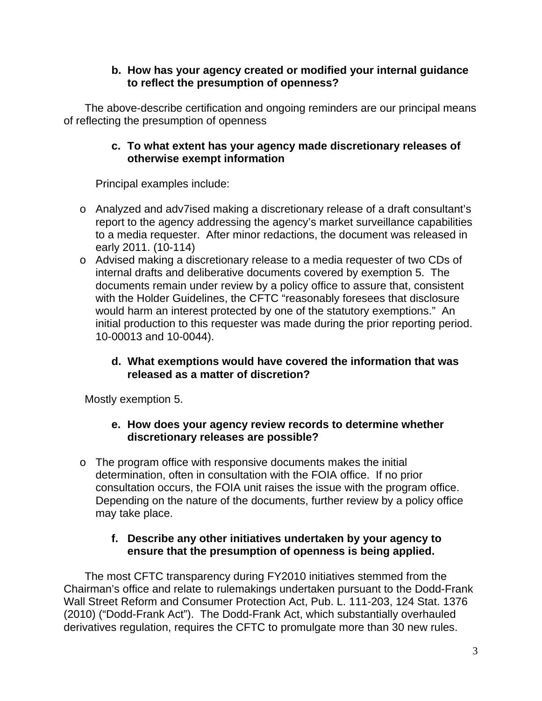# **b. How has your agency created or modified your internal guidance to reflect the presumption of openness?**

The above-describe certification and ongoing reminders are our principal means of reflecting the presumption of openness

# **c. To what extent has your agency made discretionary releases of otherwise exempt information**

Principal examples include:

- o Analyzed and adv7ised making a discretionary release of a draft consultant's report to the agency addressing the agency's market surveillance capabilities to a media requester. After minor redactions, the document was released in early 2011. (10-114)
- o Advised making a discretionary release to a media requester of two CDs of internal drafts and deliberative documents covered by exemption 5. The documents remain under review by a policy office to assure that, consistent with the Holder Guidelines, the CFTC "reasonably foresees that disclosure would harm an interest protected by one of the statutory exemptions." An initial production to this requester was made during the prior reporting period. 10-00013 and 10-0044).

# **d. What exemptions would have covered the information that was released as a matter of discretion?**

Mostly exemption 5.

# **e. How does your agency review records to determine whether discretionary releases are possible?**

o The program office with responsive documents makes the initial determination, often in consultation with the FOIA office. If no prior consultation occurs, the FOIA unit raises the issue with the program office. Depending on the nature of the documents, further review by a policy office may take place.

# **f. Describe any other initiatives undertaken by your agency to ensure that the presumption of openness is being applied.**

The most CFTC transparency during FY2010 initiatives stemmed from the Chairman's office and relate to rulemakings undertaken pursuant to the Dodd-Frank Wall Street Reform and Consumer Protection Act, Pub. L. 111-203, 124 Stat. 1376 (2010) ("Dodd-Frank Act"). The Dodd-Frank Act, which substantially overhauled derivatives regulation, requires the CFTC to promulgate more than 30 new rules.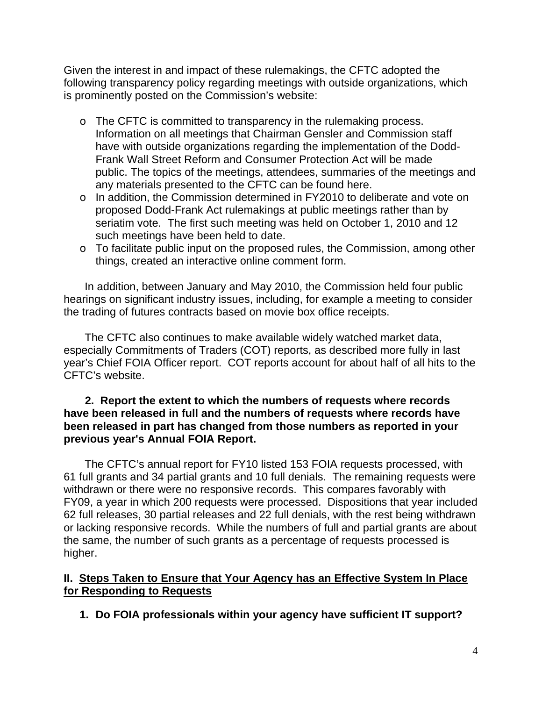Given the interest in and impact of these rulemakings, the CFTC adopted the following transparency policy regarding meetings with outside organizations, which is prominently posted on the Commission's website:

- o The CFTC is committed to transparency in the rulemaking process. Information on all meetings that Chairman Gensler and Commission staff have with outside organizations regarding the implementation of the Dodd-Frank Wall Street Reform and Consumer Protection Act will be made public. The topics of the meetings, attendees, summaries of the meetings and any materials presented to the CFTC can be found here.
- o In addition, the Commission determined in FY2010 to deliberate and vote on proposed Dodd-Frank Act rulemakings at public meetings rather than by seriatim vote. The first such meeting was held on October 1, 2010 and 12 such meetings have been held to date.
- o To facilitate public input on the proposed rules, the Commission, among other things, created an interactive online comment form.

In addition, between January and May 2010, the Commission held four public hearings on significant industry issues, including, for example a meeting to consider the trading of futures contracts based on movie box office receipts.

The CFTC also continues to make available widely watched market data, especially Commitments of Traders (COT) reports, as described more fully in last year's Chief FOIA Officer report. COT reports account for about half of all hits to the CFTC's website.

#### **2. Report the extent to which the numbers of requests where records have been released in full and the numbers of requests where records have been released in part has changed from those numbers as reported in your previous year's Annual FOIA Report.**

The CFTC's annual report for FY10 listed 153 FOIA requests processed, with 61 full grants and 34 partial grants and 10 full denials. The remaining requests were withdrawn or there were no responsive records. This compares favorably with FY09, a year in which 200 requests were processed. Dispositions that year included 62 full releases, 30 partial releases and 22 full denials, with the rest being withdrawn or lacking responsive records. While the numbers of full and partial grants are about the same, the number of such grants as a percentage of requests processed is higher.

# **II. Steps Taken to Ensure that Your Agency has an Effective System In Place for Responding to Requests**

**1. Do FOIA professionals within your agency have sufficient IT support?**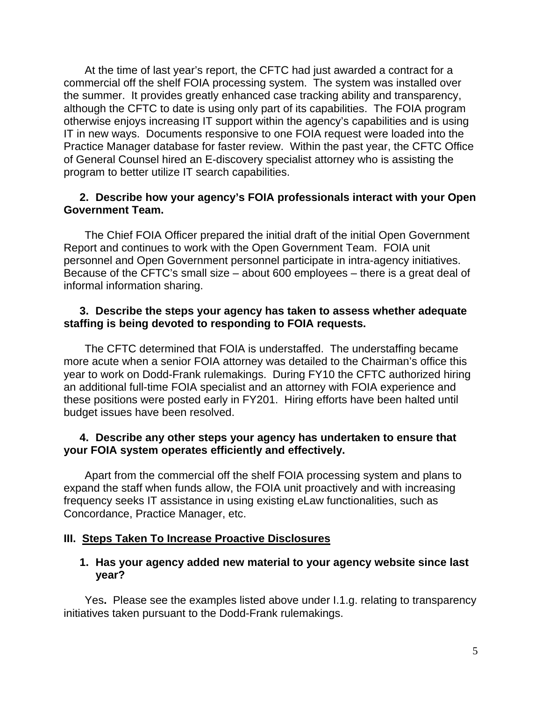At the time of last year's report, the CFTC had just awarded a contract for a commercial off the shelf FOIA processing system. The system was installed over the summer. It provides greatly enhanced case tracking ability and transparency, although the CFTC to date is using only part of its capabilities. The FOIA program otherwise enjoys increasing IT support within the agency's capabilities and is using IT in new ways. Documents responsive to one FOIA request were loaded into the Practice Manager database for faster review. Within the past year, the CFTC Office of General Counsel hired an E-discovery specialist attorney who is assisting the program to better utilize IT search capabilities.

#### **2. Describe how your agency's FOIA professionals interact with your Open Government Team.**

The Chief FOIA Officer prepared the initial draft of the initial Open Government Report and continues to work with the Open Government Team. FOIA unit personnel and Open Government personnel participate in intra-agency initiatives. Because of the CFTC's small size – about 600 employees – there is a great deal of informal information sharing.

#### **3. Describe the steps your agency has taken to assess whether adequate staffing is being devoted to responding to FOIA requests.**

The CFTC determined that FOIA is understaffed. The understaffing became more acute when a senior FOIA attorney was detailed to the Chairman's office this year to work on Dodd-Frank rulemakings. During FY10 the CFTC authorized hiring an additional full-time FOIA specialist and an attorney with FOIA experience and these positions were posted early in FY201. Hiring efforts have been halted until budget issues have been resolved.

#### **4. Describe any other steps your agency has undertaken to ensure that your FOIA system operates efficiently and effectively.**

Apart from the commercial off the shelf FOIA processing system and plans to expand the staff when funds allow, the FOIA unit proactively and with increasing frequency seeks IT assistance in using existing eLaw functionalities, such as Concordance, Practice Manager, etc.

# **III. Steps Taken To Increase Proactive Disclosures**

#### **1. Has your agency added new material to your agency website since last year?**

Yes**.** Please see the examples listed above under I.1.g. relating to transparency initiatives taken pursuant to the Dodd-Frank rulemakings.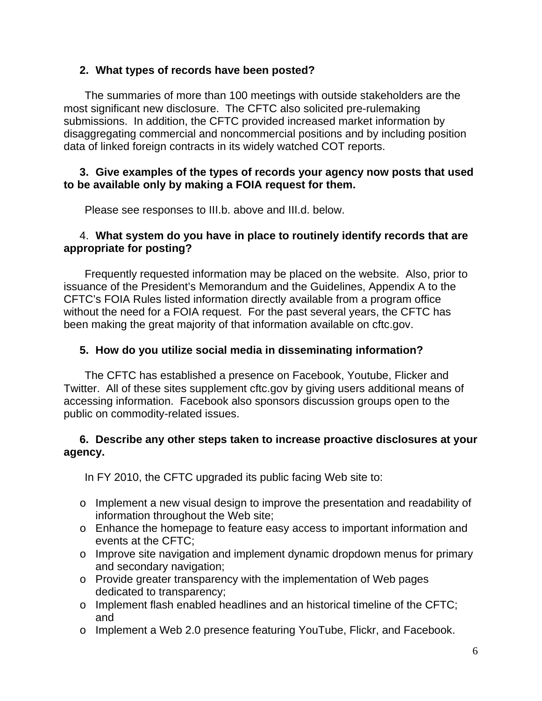# **2. What types of records have been posted?**

The summaries of more than 100 meetings with outside stakeholders are the most significant new disclosure. The CFTC also solicited pre-rulemaking submissions. In addition, the CFTC provided increased market information by disaggregating commercial and noncommercial positions and by including position data of linked foreign contracts in its widely watched COT reports.

# **3. Give examples of the types of records your agency now posts that used to be available only by making a FOIA request for them.**

Please see responses to III.b. above and III.d. below.

# 4. **What system do you have in place to routinely identify records that are appropriate for posting?**

Frequently requested information may be placed on the website. Also, prior to issuance of the President's Memorandum and the Guidelines, Appendix A to the CFTC's FOIA Rules listed information directly available from a program office without the need for a FOIA request. For the past several years, the CFTC has been making the great majority of that information available on cftc.gov.

# **5. How do you utilize social media in disseminating information?**

The CFTC has established a presence on Facebook, Youtube, Flicker and Twitter. All of these sites supplement cftc.gov by giving users additional means of accessing information. Facebook also sponsors discussion groups open to the public on commodity-related issues.

# **6. Describe any other steps taken to increase proactive disclosures at your agency.**

In FY 2010, the CFTC upgraded its public facing Web site to:

- o Implement a new visual design to improve the presentation and readability of information throughout the Web site;
- o Enhance the homepage to feature easy access to important information and events at the CFTC;
- o Improve site navigation and implement dynamic dropdown menus for primary and secondary navigation;
- o Provide greater transparency with the implementation of Web pages dedicated to transparency;
- o Implement flash enabled headlines and an historical timeline of the CFTC; and
- o Implement a Web 2.0 presence featuring YouTube, Flickr, and Facebook.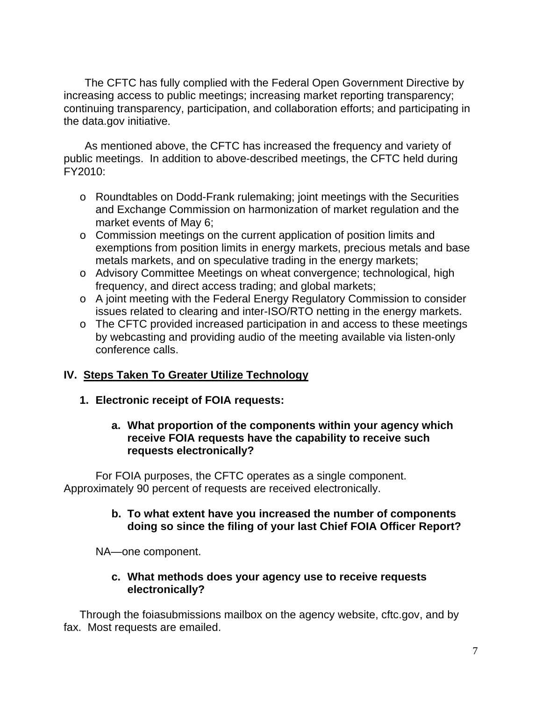The CFTC has fully complied with the Federal Open Government Directive by increasing access to public meetings; increasing market reporting transparency; continuing transparency, participation, and collaboration efforts; and participating in the data.gov initiative.

As mentioned above, the CFTC has increased the frequency and variety of public meetings. In addition to above-described meetings, the CFTC held during FY2010:

- o Roundtables on Dodd-Frank rulemaking; joint meetings with the Securities and Exchange Commission on harmonization of market regulation and the market events of May 6;
- o Commission meetings on the current application of position limits and exemptions from position limits in energy markets, precious metals and base metals markets, and on speculative trading in the energy markets;
- o Advisory Committee Meetings on wheat convergence; technological, high frequency, and direct access trading; and global markets;
- o A joint meeting with the Federal Energy Regulatory Commission to consider issues related to clearing and inter-ISO/RTO netting in the energy markets.
- o The CFTC provided increased participation in and access to these meetings by webcasting and providing audio of the meeting available via listen-only conference calls.

# **IV. Steps Taken To Greater Utilize Technology**

# **1. Electronic receipt of FOIA requests:**

# **a. What proportion of the components within your agency which receive FOIA requests have the capability to receive such requests electronically?**

For FOIA purposes, the CFTC operates as a single component. Approximately 90 percent of requests are received electronically.

#### **b. To what extent have you increased the number of components doing so since the filing of your last Chief FOIA Officer Report?**

NA—one component.

# **c. What methods does your agency use to receive requests electronically?**

Through the foiasubmissions mailbox on the agency website, cftc.gov, and by fax. Most requests are emailed.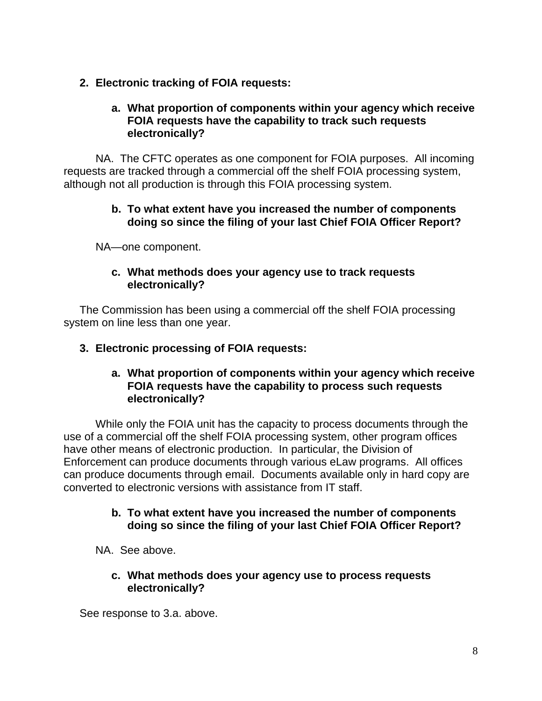# **2. Electronic tracking of FOIA requests:**

# **a. What proportion of components within your agency which receive FOIA requests have the capability to track such requests electronically?**

NA. The CFTC operates as one component for FOIA purposes. All incoming requests are tracked through a commercial off the shelf FOIA processing system, although not all production is through this FOIA processing system.

# **b. To what extent have you increased the number of components doing so since the filing of your last Chief FOIA Officer Report?**

NA—one component.

# **c. What methods does your agency use to track requests electronically?**

The Commission has been using a commercial off the shelf FOIA processing system on line less than one year.

# **3. Electronic processing of FOIA requests:**

#### **a. What proportion of components within your agency which receive FOIA requests have the capability to process such requests electronically?**

While only the FOIA unit has the capacity to process documents through the use of a commercial off the shelf FOIA processing system, other program offices have other means of electronic production. In particular, the Division of Enforcement can produce documents through various eLaw programs. All offices can produce documents through email. Documents available only in hard copy are converted to electronic versions with assistance from IT staff.

#### **b. To what extent have you increased the number of components doing so since the filing of your last Chief FOIA Officer Report?**

NA. See above.

#### **c. What methods does your agency use to process requests electronically?**

See response to 3.a. above.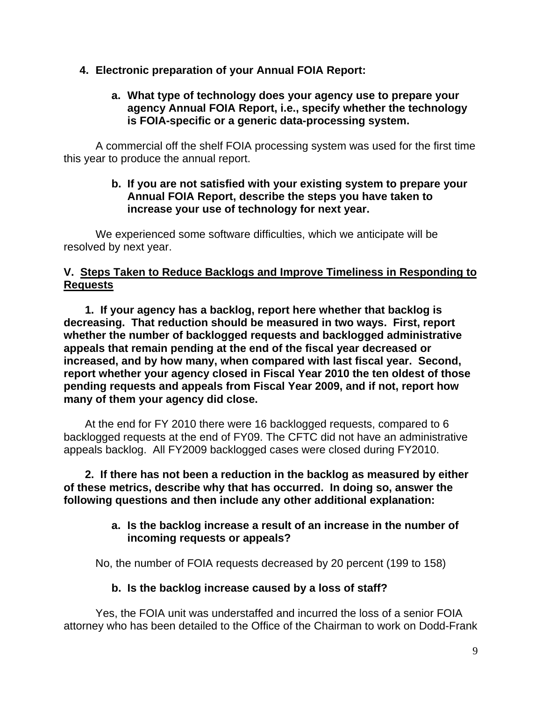# **4. Electronic preparation of your Annual FOIA Report:**

# **a. What type of technology does your agency use to prepare your agency Annual FOIA Report, i.e., specify whether the technology is FOIA-specific or a generic data-processing system.**

A commercial off the shelf FOIA processing system was used for the first time this year to produce the annual report.

#### **b. If you are not satisfied with your existing system to prepare your Annual FOIA Report, describe the steps you have taken to increase your use of technology for next year.**

We experienced some software difficulties, which we anticipate will be resolved by next year.

# **V. Steps Taken to Reduce Backlogs and Improve Timeliness in Responding to Requests**

**1. If your agency has a backlog, report here whether that backlog is decreasing. That reduction should be measured in two ways. First, report whether the number of backlogged requests and backlogged administrative appeals that remain pending at the end of the fiscal year decreased or increased, and by how many, when compared with last fiscal year. Second, report whether your agency closed in Fiscal Year 2010 the ten oldest of those pending requests and appeals from Fiscal Year 2009, and if not, report how many of them your agency did close.** 

At the end for FY 2010 there were 16 backlogged requests, compared to 6 backlogged requests at the end of FY09. The CFTC did not have an administrative appeals backlog. All FY2009 backlogged cases were closed during FY2010.

**2. If there has not been a reduction in the backlog as measured by either of these metrics, describe why that has occurred. In doing so, answer the following questions and then include any other additional explanation:** 

#### **a. Is the backlog increase a result of an increase in the number of incoming requests or appeals?**

No, the number of FOIA requests decreased by 20 percent (199 to 158)

# **b. Is the backlog increase caused by a loss of staff?**

Yes, the FOIA unit was understaffed and incurred the loss of a senior FOIA attorney who has been detailed to the Office of the Chairman to work on Dodd-Frank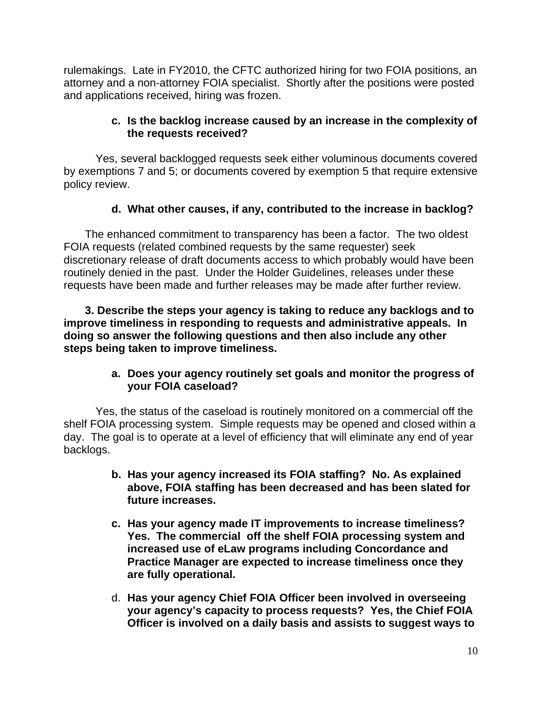rulemakings. Late in FY2010, the CFTC authorized hiring for two FOIA positions, an attorney and a non-attorney FOIA specialist. Shortly after the positions were posted and applications received, hiring was frozen.

# **c. Is the backlog increase caused by an increase in the complexity of the requests received?**

Yes, several backlogged requests seek either voluminous documents covered by exemptions 7 and 5; or documents covered by exemption 5 that require extensive policy review.

# **d. What other causes, if any, contributed to the increase in backlog?**

The enhanced commitment to transparency has been a factor. The two oldest FOIA requests (related combined requests by the same requester) seek discretionary release of draft documents access to which probably would have been routinely denied in the past. Under the Holder Guidelines, releases under these requests have been made and further releases may be made after further review.

**3. Describe the steps your agency is taking to reduce any backlogs and to improve timeliness in responding to requests and administrative appeals. In doing so answer the following questions and then also include any other steps being taken to improve timeliness.** 

# **a. Does your agency routinely set goals and monitor the progress of your FOIA caseload?**

Yes, the status of the caseload is routinely monitored on a commercial off the shelf FOIA processing system. Simple requests may be opened and closed within a day. The goal is to operate at a level of efficiency that will eliminate any end of year backlogs.

- **b. Has your agency increased its FOIA staffing? No. As explained above, FOIA staffing has been decreased and has been slated for future increases.**
- **c. Has your agency made IT improvements to increase timeliness? Yes. The commercial off the shelf FOIA processing system and increased use of eLaw programs including Concordance and Practice Manager are expected to increase timeliness once they are fully operational.**
- d. **Has your agency Chief FOIA Officer been involved in overseeing your agency's capacity to process requests? Yes, the Chief FOIA Officer is involved on a daily basis and assists to suggest ways to**